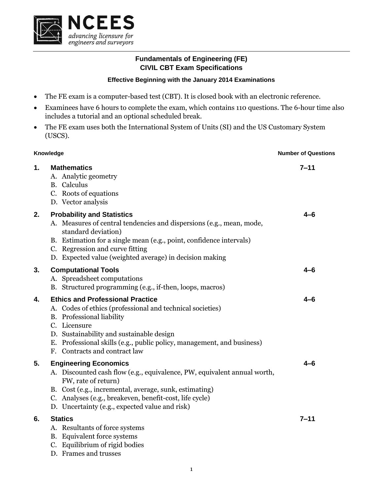

## **Fundamentals of Engineering (FE) CIVIL CBT Exam Specifications**

## **Effective Beginning with the January 2014 Examinations**

- The FE exam is a computer-based test (CBT). It is closed book with an electronic reference.
- Examinees have 6 hours to complete the exam, which contains 110 questions. The 6-hour time also includes a tutorial and an optional scheduled break.
- The FE exam uses both the International System of Units (SI) and the US Customary System (USCS).

| Knowledge |                                                                                                                                                                                                                                                                                                          | <b>Number of Questions</b> |  |
|-----------|----------------------------------------------------------------------------------------------------------------------------------------------------------------------------------------------------------------------------------------------------------------------------------------------------------|----------------------------|--|
| 1.        | <b>Mathematics</b><br>A. Analytic geometry<br><b>B.</b> Calculus<br>C. Roots of equations<br>D. Vector analysis                                                                                                                                                                                          | $7 - 11$                   |  |
| 2.        | <b>Probability and Statistics</b><br>A. Measures of central tendencies and dispersions (e.g., mean, mode,<br>standard deviation)<br>B. Estimation for a single mean (e.g., point, confidence intervals)<br>C. Regression and curve fitting<br>D. Expected value (weighted average) in decision making    | 4–6                        |  |
| 3.        | <b>Computational Tools</b><br>A. Spreadsheet computations<br>B. Structured programming (e.g., if-then, loops, macros)                                                                                                                                                                                    | 4–6                        |  |
| 4.        | <b>Ethics and Professional Practice</b><br>A. Codes of ethics (professional and technical societies)<br>B. Professional liability<br>C. Licensure<br>D. Sustainability and sustainable design<br>E. Professional skills (e.g., public policy, management, and business)<br>F. Contracts and contract law | $4 - 6$                    |  |
| 5.        | <b>Engineering Economics</b><br>A. Discounted cash flow (e.g., equivalence, PW, equivalent annual worth,<br>FW, rate of return)<br>B. Cost (e.g., incremental, average, sunk, estimating)<br>C. Analyses (e.g., breakeven, benefit-cost, life cycle)<br>D. Uncertainty (e.g., expected value and risk)   | 4–6                        |  |
| 6.        | <b>Statics</b><br>A. Resultants of force systems<br>B. Equivalent force systems<br>C. Equilibrium of rigid bodies<br>D. Frames and trusses                                                                                                                                                               | $7 - 11$                   |  |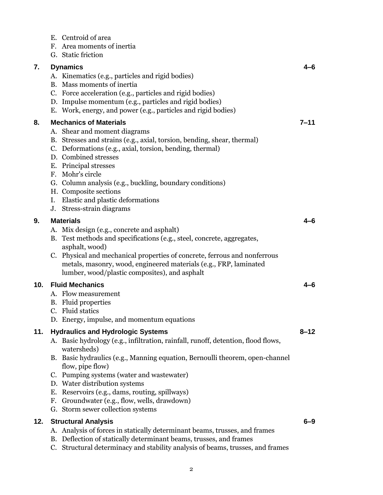|     | E. Centroid of area<br>F. Area moments of inertia<br>G. Static friction                                                                                                                                                                                                                                                                                                                                                                                               |          |
|-----|-----------------------------------------------------------------------------------------------------------------------------------------------------------------------------------------------------------------------------------------------------------------------------------------------------------------------------------------------------------------------------------------------------------------------------------------------------------------------|----------|
| 7.  | <b>Dynamics</b><br>A. Kinematics (e.g., particles and rigid bodies)<br>B. Mass moments of inertia<br>C. Force acceleration (e.g., particles and rigid bodies)<br>D. Impulse momentum (e.g., particles and rigid bodies)<br>E. Work, energy, and power (e.g., particles and rigid bodies)                                                                                                                                                                              |          |
| 8.  | <b>Mechanics of Materials</b><br>A. Shear and moment diagrams<br>B. Stresses and strains (e.g., axial, torsion, bending, shear, thermal)<br>C. Deformations (e.g., axial, torsion, bending, thermal)<br>D. Combined stresses<br>E. Principal stresses<br>F. Mohr's circle<br>G. Column analysis (e.g., buckling, boundary conditions)<br>H. Composite sections<br>I. Elastic and plastic deformations<br>J. Stress-strain diagrams                                    | $7 - 11$ |
| 9.  | <b>Materials</b><br>A. Mix design (e.g., concrete and asphalt)<br>B. Test methods and specifications (e.g., steel, concrete, aggregates,<br>asphalt, wood)<br>C. Physical and mechanical properties of concrete, ferrous and nonferrous<br>metals, masonry, wood, engineered materials (e.g., FRP, laminated<br>lumber, wood/plastic composites), and asphalt                                                                                                         |          |
| 10. | <b>Fluid Mechanics</b><br>A. Flow measurement<br><b>B.</b> Fluid properties<br>C. Fluid statics<br>D. Energy, impulse, and momentum equations                                                                                                                                                                                                                                                                                                                         | 4–6      |
| 11. | <b>Hydraulics and Hydrologic Systems</b><br>A. Basic hydrology (e.g., infiltration, rainfall, runoff, detention, flood flows,<br>watersheds)<br>B. Basic hydraulics (e.g., Manning equation, Bernoulli theorem, open-channel<br>flow, pipe flow)<br>C. Pumping systems (water and wastewater)<br>D. Water distribution systems<br>E. Reservoirs (e.g., dams, routing, spillways)<br>F. Groundwater (e.g., flow, wells, drawdown)<br>G. Storm sewer collection systems | $8 - 12$ |
| 12. | <b>Structural Analysis</b><br>A. Analysis of forces in statically determinant beams, trusses, and frames<br>B. Deflection of statically determinant beams, trusses, and frames<br>C. Structural determinacy and stability analysis of beams, trusses, and frames                                                                                                                                                                                                      | 6–9      |
|     |                                                                                                                                                                                                                                                                                                                                                                                                                                                                       |          |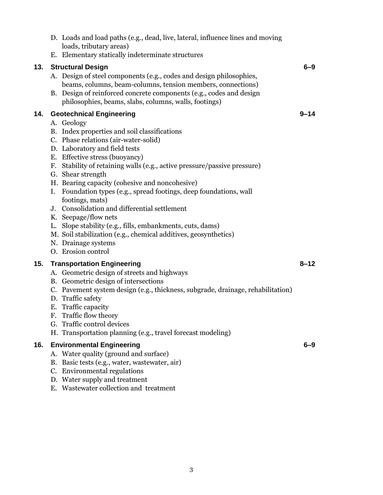|     |    | D. Loads and load paths (e.g., dead, live, lateral, influence lines and moving<br>loads, tributary areas)<br>E. Elementary statically indeterminate structures                                            |          |
|-----|----|-----------------------------------------------------------------------------------------------------------------------------------------------------------------------------------------------------------|----------|
| 13. |    | <b>Structural Design</b>                                                                                                                                                                                  | $6 - 9$  |
|     |    | A. Design of steel components (e.g., codes and design philosophies,<br>beams, columns, beam-columns, tension members, connections)<br>B. Design of reinforced concrete components (e.g., codes and design |          |
|     |    | philosophies, beams, slabs, columns, walls, footings)                                                                                                                                                     |          |
| 14. |    | <b>Geotechnical Engineering</b>                                                                                                                                                                           | $9 - 14$ |
|     |    | A. Geology                                                                                                                                                                                                |          |
|     |    | B. Index properties and soil classifications                                                                                                                                                              |          |
|     |    | C. Phase relations (air-water-solid)                                                                                                                                                                      |          |
|     |    | D. Laboratory and field tests                                                                                                                                                                             |          |
|     |    | E. Effective stress (buoyancy)                                                                                                                                                                            |          |
|     |    | F. Stability of retaining walls (e.g., active pressure/passive pressure)                                                                                                                                  |          |
|     |    | G. Shear strength                                                                                                                                                                                         |          |
|     |    | H. Bearing capacity (cohesive and noncohesive)                                                                                                                                                            |          |
|     |    | I. Foundation types (e.g., spread footings, deep foundations, wall                                                                                                                                        |          |
|     |    | footings, mats)                                                                                                                                                                                           |          |
|     |    | J. Consolidation and differential settlement                                                                                                                                                              |          |
|     |    | K. Seepage/flow nets                                                                                                                                                                                      |          |
|     |    | L. Slope stability (e.g., fills, embankments, cuts, dams)                                                                                                                                                 |          |
|     |    | M. Soil stabilization (e.g., chemical additives, geosynthetics)                                                                                                                                           |          |
|     |    | N. Drainage systems<br>O. Erosion control                                                                                                                                                                 |          |
|     |    |                                                                                                                                                                                                           |          |
| 15. |    | <b>Transportation Engineering</b>                                                                                                                                                                         | $8 - 12$ |
|     |    | A. Geometric design of streets and highways                                                                                                                                                               |          |
|     |    | B. Geometric design of intersections                                                                                                                                                                      |          |
|     |    | C. Pavement system design (e.g., thickness, subgrade, drainage, rehabilitation)                                                                                                                           |          |
|     |    | D. Traffic safety                                                                                                                                                                                         |          |
|     | F. | E. Traffic capacity                                                                                                                                                                                       |          |
|     |    | Traffic flow theory<br>G. Traffic control devices                                                                                                                                                         |          |
|     |    | H. Transportation planning (e.g., travel forecast modeling)                                                                                                                                               |          |
|     |    |                                                                                                                                                                                                           |          |
| 16. |    | <b>Environmental Engineering</b>                                                                                                                                                                          | 6–9      |
|     |    | A. Water quality (ground and surface)                                                                                                                                                                     |          |
|     |    | B. Basic tests (e.g., water, wastewater, air)                                                                                                                                                             |          |
|     |    | C. Environmental regulations                                                                                                                                                                              |          |
|     |    | D. Water supply and treatment                                                                                                                                                                             |          |
|     |    | E. Wastewater collection and treatment                                                                                                                                                                    |          |
|     |    |                                                                                                                                                                                                           |          |
|     |    |                                                                                                                                                                                                           |          |
|     |    |                                                                                                                                                                                                           |          |
|     |    |                                                                                                                                                                                                           |          |
|     |    |                                                                                                                                                                                                           |          |